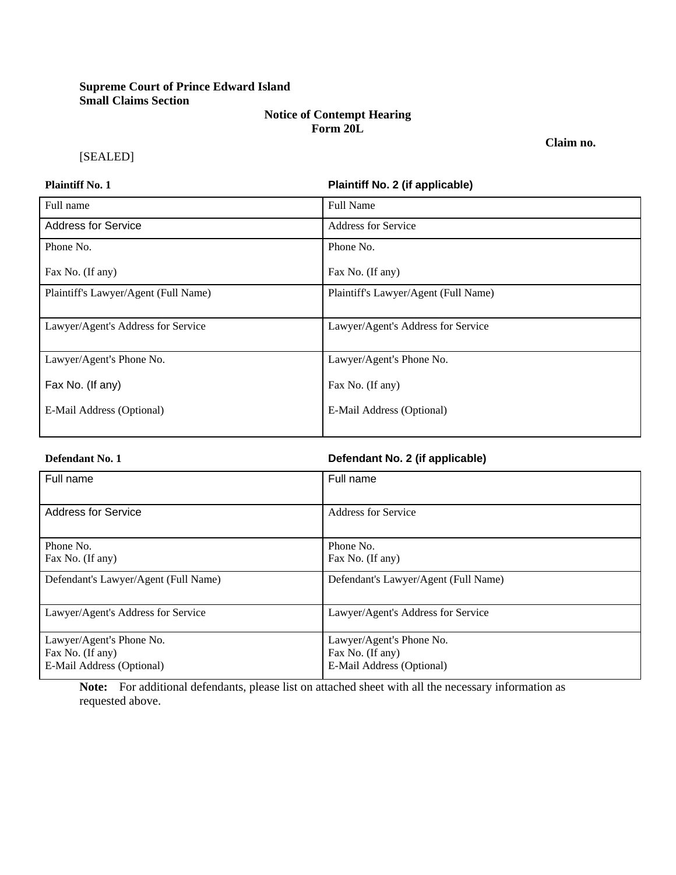# **Supreme Court of Prince Edward Island Small Claims Section**

## **Notice of Contempt Hearing Form 20L**

[SEALED]

# **Plaintiff No. 1 Plaintiff No. 2 (if applicable)**

**Claim no.**

| Full name                            | <b>Full Name</b>                     |
|--------------------------------------|--------------------------------------|
| <b>Address for Service</b>           | <b>Address for Service</b>           |
| Phone No.                            | Phone No.                            |
| Fax No. (If any)                     | Fax No. (If any)                     |
| Plaintiff's Lawyer/Agent (Full Name) | Plaintiff's Lawyer/Agent (Full Name) |
| Lawyer/Agent's Address for Service   | Lawyer/Agent's Address for Service   |
| Lawyer/Agent's Phone No.             | Lawyer/Agent's Phone No.             |
| Fax No. (If any)                     | Fax No. (If any)                     |
| E-Mail Address (Optional)            | E-Mail Address (Optional)            |

### **Defendant No. 1 Defendant No. 2 (if applicable)**

| Full name                            | Full name                            |
|--------------------------------------|--------------------------------------|
|                                      |                                      |
| <b>Address for Service</b>           | Address for Service                  |
|                                      |                                      |
| Phone No.                            | Phone No.                            |
| Fax No. (If any)                     | Fax No. (If any)                     |
| Defendant's Lawyer/Agent (Full Name) | Defendant's Lawyer/Agent (Full Name) |
|                                      |                                      |
|                                      |                                      |
| Lawyer/Agent's Address for Service   | Lawyer/Agent's Address for Service   |
|                                      |                                      |
| Lawyer/Agent's Phone No.             | Lawyer/Agent's Phone No.             |
| Fax No. (If any)                     | Fax No. (If any)                     |
| E-Mail Address (Optional)            | E-Mail Address (Optional)            |

**Note:** For additional defendants, please list on attached sheet with all the necessary information as requested above.